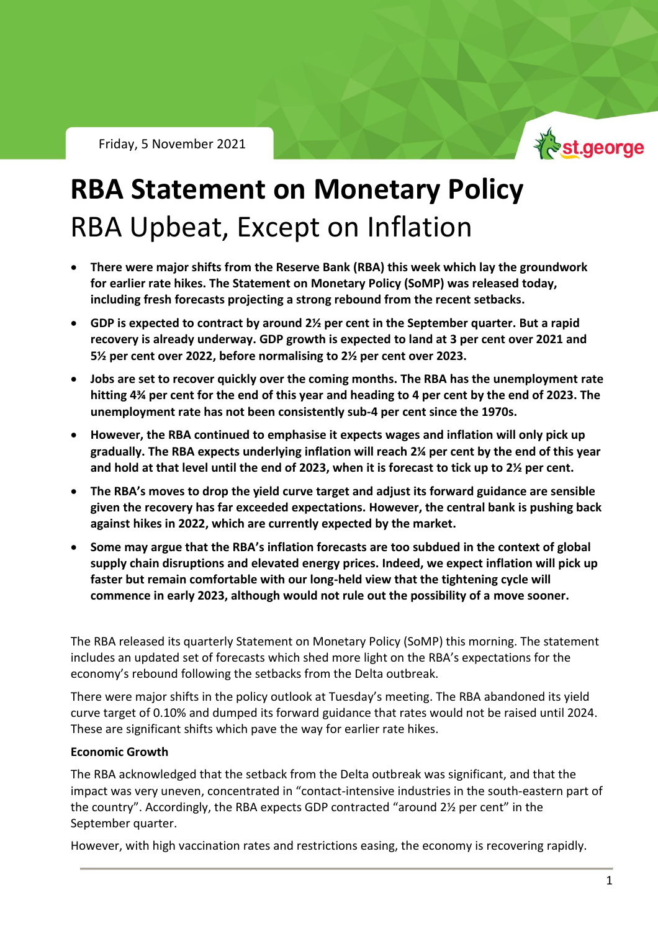

# **RBA Statement on Monetary Policy** RBA Upbeat, Except on Inflation

- **There were major shifts from the Reserve Bank (RBA) this week which lay the groundwork for earlier rate hikes. The Statement on Monetary Policy (SoMP) was released today, including fresh forecasts projecting a strong rebound from the recent setbacks.**
- **GDP is expected to contract by around 2½ per cent in the September quarter. But a rapid recovery is already underway. GDP growth is expected to land at 3 per cent over 2021 and 5½ per cent over 2022, before normalising to 2½ per cent over 2023.**
- **Jobs are set to recover quickly over the coming months. The RBA has the unemployment rate hitting 4¾ per cent for the end of this year and heading to 4 per cent by the end of 2023. The unemployment rate has not been consistently sub-4 per cent since the 1970s.**
- **However, the RBA continued to emphasise it expects wages and inflation will only pick up gradually. The RBA expects underlying inflation will reach 2¼ per cent by the end of this year and hold at that level until the end of 2023, when it is forecast to tick up to 2½ per cent.**
- **The RBA's moves to drop the yield curve target and adjust its forward guidance are sensible given the recovery has far exceeded expectations. However, the central bank is pushing back against hikes in 2022, which are currently expected by the market.**
- **Some may argue that the RBA's inflation forecasts are too subdued in the context of global supply chain disruptions and elevated energy prices. Indeed, we expect inflation will pick up faster but remain comfortable with our long-held view that the tightening cycle will commence in early 2023, although would not rule out the possibility of a move sooner.**

The RBA released its quarterly Statement on Monetary Policy (SoMP) this morning. The statement includes an updated set of forecasts which shed more light on the RBA's expectations for the economy's rebound following the setbacks from the Delta outbreak.

There were major shifts in the policy outlook at Tuesday's meeting. The RBA abandoned its yield curve target of 0.10% and dumped its forward guidance that rates would not be raised until 2024. These are significant shifts which pave the way for earlier rate hikes.

# **Economic Growth**

The RBA acknowledged that the setback from the Delta outbreak was significant, and that the impact was very uneven, concentrated in "contact-intensive industries in the south-eastern part of the country". Accordingly, the RBA expects GDP contracted "around 2½ per cent" in the September quarter.

However, with high vaccination rates and restrictions easing, the economy is recovering rapidly.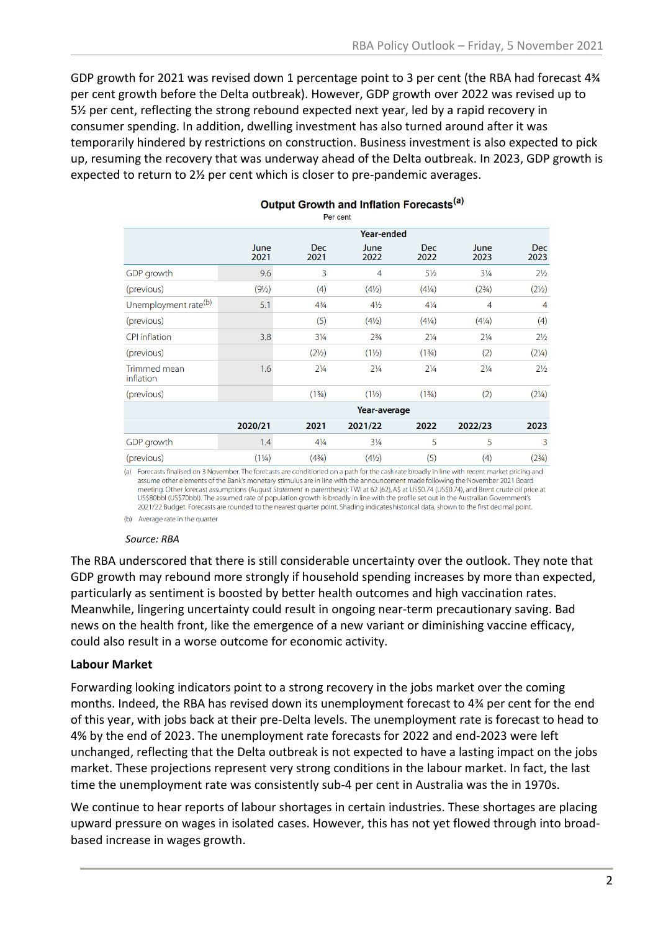GDP growth for 2021 was revised down 1 percentage point to 3 per cent (the RBA had forecast 4<sup>34</sup> per cent growth before the Delta outbreak). However, GDP growth over 2022 was revised up to 5½ per cent, reflecting the strong rebound expected next year, led by a rapid recovery in consumer spending. In addition, dwelling investment has also turned around after it was temporarily hindered by restrictions on construction. Business investment is also expected to pick up, resuming the recovery that was underway ahead of the Delta outbreak. In 2023, GDP growth is expected to return to 2½ per cent which is closer to pre-pandemic averages.

| Per cent                         |                   |                    |                  |                    |                                  |                    |
|----------------------------------|-------------------|--------------------|------------------|--------------------|----------------------------------|--------------------|
|                                  | <b>Year-ended</b> |                    |                  |                    |                                  |                    |
|                                  | June<br>2021      | <b>Dec</b><br>2021 | June<br>2022     | <b>Dec</b><br>2022 | June<br>2023                     | <b>Dec</b><br>2023 |
| GDP growth                       | 9.6               | 3                  | $\overline{4}$   | $5\frac{1}{2}$     | $3\frac{1}{4}$                   | $2\frac{1}{2}$     |
| (previous)                       | $(9\frac{1}{2})$  | (4)                | $(4\frac{1}{2})$ | $(4\frac{1}{4})$   | (2 <sup>3</sup> / <sub>4</sub> ) | (21/2)             |
| Unemployment rate <sup>(b)</sup> | 5.1               | $4\frac{3}{4}$     | $4\frac{1}{2}$   | $4\frac{1}{4}$     | 4                                | 4                  |
| (previous)                       |                   | (5)                | $(4\frac{1}{2})$ | $(4\frac{1}{4})$   | $(4\frac{1}{4})$                 | (4)                |
| <b>CPI</b> inflation             | 3.8               | $3\frac{1}{4}$     | $2\frac{3}{4}$   | $2\frac{1}{4}$     | $2\frac{1}{4}$                   | $2\frac{1}{2}$     |
| (previous)                       |                   | $(2\frac{1}{2})$   | $(1\frac{1}{2})$ | (13/4)             | (2)                              | $(2\frac{1}{4})$   |
| Trimmed mean<br>inflation        | 1.6               | $2\frac{1}{4}$     | $2\frac{1}{4}$   | $2\frac{1}{4}$     | $2\frac{1}{4}$                   | $2\frac{1}{2}$     |
| (previous)                       |                   | (13/4)             | $(1\frac{1}{2})$ | (13/4)             | (2)                              | $(2\frac{1}{4})$   |
|                                  | Year-average      |                    |                  |                    |                                  |                    |
|                                  | 2020/21           | 2021               | 2021/22          | 2022               | 2022/23                          | 2023               |
| GDP growth                       | 1.4               | $4\frac{1}{4}$     | $3\frac{1}{4}$   | 5                  | 5                                | 3                  |
| (previous)                       | $(1\frac{1}{4})$  | (43/4)             | $(4\frac{1}{2})$ | (5)                | (4)                              | $(2^{3}/4)$        |

# Output Growth and Inflation Forecasts<sup>(a)</sup>

(a) Forecasts finalised on 3 November. The forecasts are conditioned on a path for the cash rate broadly in line with recent market pricing and assume other elements of the Bank's monetary stimulus are in line with the announcement made following the November 2021 Board meeting. Other forecast assumptions (August Statement in parenthesis): TWI at 62 (62), A\$ at US\$0.74 (US\$0.74), and Brent crude oil price at US\$80bbl (US\$70bbl). The assumed rate of population growth is broadly in line with the profile set out in the Australian Government's 2021/22 Budget. Forecasts are rounded to the nearest quarter point. Shading indicates historical data, shown to the first decimal point.

(b) Average rate in the quarter

#### *Source: RBA*

The RBA underscored that there is still considerable uncertainty over the outlook. They note that GDP growth may rebound more strongly if household spending increases by more than expected, particularly as sentiment is boosted by better health outcomes and high vaccination rates. Meanwhile, lingering uncertainty could result in ongoing near-term precautionary saving. Bad news on the health front, like the emergence of a new variant or diminishing vaccine efficacy, could also result in a worse outcome for economic activity.

#### **Labour Market**

Forwarding looking indicators point to a strong recovery in the jobs market over the coming months. Indeed, the RBA has revised down its unemployment forecast to 4¾ per cent for the end of this year, with jobs back at their pre-Delta levels. The unemployment rate is forecast to head to 4% by the end of 2023. The unemployment rate forecasts for 2022 and end-2023 were left unchanged, reflecting that the Delta outbreak is not expected to have a lasting impact on the jobs market. These projections represent very strong conditions in the labour market. In fact, the last time the unemployment rate was consistently sub-4 per cent in Australia was the in 1970s.

We continue to hear reports of labour shortages in certain industries. These shortages are placing upward pressure on wages in isolated cases. However, this has not yet flowed through into broadbased increase in wages growth.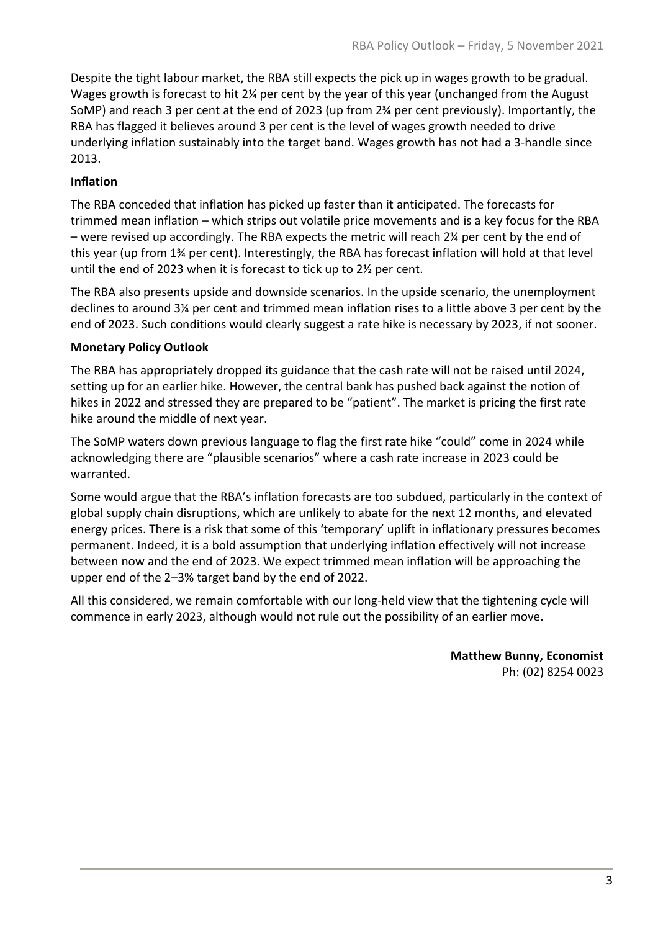Despite the tight labour market, the RBA still expects the pick up in wages growth to be gradual. Wages growth is forecast to hit 2¼ per cent by the year of this year (unchanged from the August SoMP) and reach 3 per cent at the end of 2023 (up from 2¾ per cent previously). Importantly, the RBA has flagged it believes around 3 per cent is the level of wages growth needed to drive underlying inflation sustainably into the target band. Wages growth has not had a 3-handle since 2013.

## **Inflation**

The RBA conceded that inflation has picked up faster than it anticipated. The forecasts for trimmed mean inflation – which strips out volatile price movements and is a key focus for the RBA – were revised up accordingly. The RBA expects the metric will reach 2¼ per cent by the end of this year (up from 1¾ per cent). Interestingly, the RBA has forecast inflation will hold at that level until the end of 2023 when it is forecast to tick up to 2½ per cent.

The RBA also presents upside and downside scenarios. In the upside scenario, the unemployment declines to around 3¼ per cent and trimmed mean inflation rises to a little above 3 per cent by the end of 2023. Such conditions would clearly suggest a rate hike is necessary by 2023, if not sooner.

### **Monetary Policy Outlook**

The RBA has appropriately dropped its guidance that the cash rate will not be raised until 2024, setting up for an earlier hike. However, the central bank has pushed back against the notion of hikes in 2022 and stressed they are prepared to be "patient". The market is pricing the first rate hike around the middle of next year.

The SoMP waters down previous language to flag the first rate hike "could" come in 2024 while acknowledging there are "plausible scenarios" where a cash rate increase in 2023 could be warranted.

Some would argue that the RBA's inflation forecasts are too subdued, particularly in the context of global supply chain disruptions, which are unlikely to abate for the next 12 months, and elevated energy prices. There is a risk that some of this 'temporary' uplift in inflationary pressures becomes permanent. Indeed, it is a bold assumption that underlying inflation effectively will not increase between now and the end of 2023. We expect trimmed mean inflation will be approaching the upper end of the 2–3% target band by the end of 2022.

All this considered, we remain comfortable with our long-held view that the tightening cycle will commence in early 2023, although would not rule out the possibility of an earlier move.

> **Matthew Bunny, Economist** Ph: (02) 8254 0023